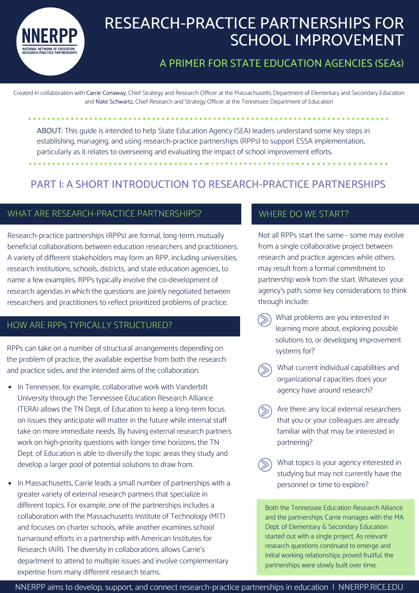

# RESEARCH-PRACTICE PARTNERSHIPS FOR SCHOOL IMPROVEMENT

# A PRIMER FOR STATE EDUCATION AGENCIES (SEAs)

Created in collaboration with Carrie Conaway, Chief Strategy and Research Officer at the Massachusetts Department of Elementary and Secondary Education and Nate Schwartz, Chief Research and Strategy Officer at the Tennessee Department of Education

ABOUT: This guide is intended to help State Education Agency (SEA) leaders understand some key steps in establishing, managing, and using research-practice partnerships (RPPs) to support ESSA implementation, particularly as it relates to overseeing and evaluating the impact of school improvement efforts.

# PART I: A SHORT INTRODUCTION TO RESEARCH-PRACTICE PARTNERSHIPS

#### WHAT ARE RESEARCH-PRACTICE PARTNERSHIPS?

Research-practice partnerships (RPPs) are formal, long-term, mutually beneficial collaborations between education researchers and practitioners. A variety of different stakeholders may form an RPP, including universities, research institutions, schools, districts, and state education agencies, to name a few examples. RPPs typically involve the co-development of research agendas in which the questions are jointly negotiated between researchers and practitioners to reflect prioritized problems of practice.

### HOW ARE RPPs TYPICALLY STRUCTURED?

RPPs can take on a number of structural arrangements depending on the problem of practice, the available expertise from both the research and practice sides, and the intended aims of the collaboration.

- In Tennessee, for example, collaborative work with Vanderbilt University through the Tennessee Education Research Alliance (TERA) allows the TN Dept. of Education to keep a long-term focus on issues they anticipate will matter in the future while internal staff take on more immediate needs. By having external research partners work on high-priority questions with longer time horizons, the TN Dept. of Education is able to diversify the topic areas they study and develop a larger pool of potential solutions to draw from.
- $\bullet$ In Massachusetts, Carrie leads a small number of partnerships with a greater variety of external research partners that specialize in different topics. For example, one of the partnerships includes a collaboration with the Massachusetts Institute of Technology (MIT) and focuses on charter schools, while another examines school turnaround efforts in a partnership with American Institutes for Research (AIR). The diversity in collaborations allows Carrie's department to attend to multiple issues and involve complementary expertise from many different research teams.

# WHERE DO WE START?

Not all RPPs start the same - some may evolve from a single collaborative project between research and practice agencies while others may result from a formal commitment to partnership work from the start. Whatever your agency's path, some key considerations to think through include:

- What problems are you interested in learning more about, exploring possible solutions to, or developing improvement systems for?
- What current individual capabilities and organizational capacities does your agency have around research?
- Are there any local external researchers that you or your colleagues are already familiar with that may be interested in partnering?
- What topics is your agency interested in studying but may not currently have the personnel or time to explore?

Both the Tennessee Education Research Alliance and the partnerships Carrie manages with the MA Dept. of Elementary & Secondary Education started out with a single project. As relevant research questions continued to emerge and initial working relationships proved fruitful, the partnerships were slowly built over time.

NNERPP aims to develop, support, and connect research-practice partnerships in education | NNERPP.RICE.EDU